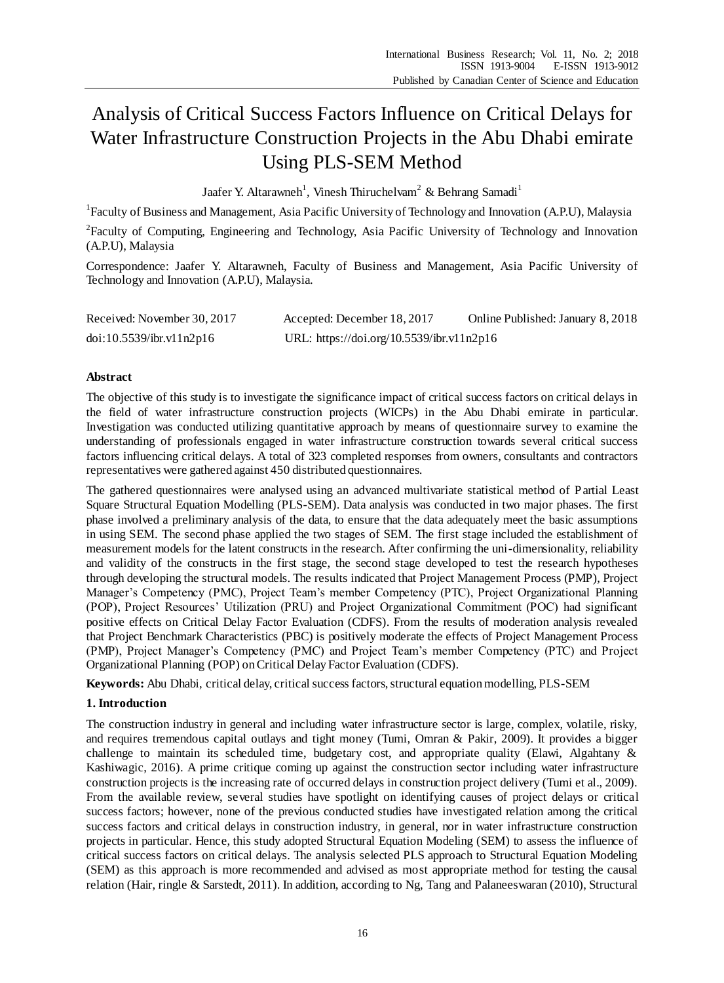# Analysis of Critical Success Factors Influence on Critical Delays for Water Infrastructure Construction Projects in the Abu Dhabi emirate Using PLS-SEM Method

Jaafer Y. Altarawneh<sup>1</sup>, Vinesh Thiruchelvam<sup>2</sup> & Behrang Samadi<sup>1</sup>

<sup>1</sup> Faculty of Business and Management, Asia Pacific University of Technology and Innovation (A.P.U), Malaysia

<sup>2</sup> Faculty of Computing, Engineering and Technology, Asia Pacific University of Technology and Innovation (A.P.U), Malaysia

Correspondence: Jaafer Y. Altarawneh, Faculty of Business and Management, Asia Pacific University of Technology and Innovation (A.P.U), Malaysia.

| Received: November 30, 2017 | Accepted: December 18, 2017               | Online Published: January 8, 2018 |
|-----------------------------|-------------------------------------------|-----------------------------------|
| doi:10.5539/ibr.v11n2p16    | URL: https://doi.org/10.5539/ibr.v11n2p16 |                                   |

### **Abstract**

The objective of this study is to investigate the significance impact of critical success factors on critical delays in the field of water infrastructure construction projects (WICPs) in the Abu Dhabi emirate in particular. Investigation was conducted utilizing quantitative approach by means of questionnaire survey to examine the understanding of professionals engaged in water infrastructure construction towards several critical success factors influencing critical delays. A total of 323 completed responses from owners, consultants and contractors representatives were gathered against 450 distributed questionnaires.

The gathered questionnaires were analysed using an advanced multivariate statistical method of Partial Least Square Structural Equation Modelling (PLS-SEM). Data analysis was conducted in two major phases. The first phase involved a preliminary analysis of the data, to ensure that the data adequately meet the basic assumptions in using SEM. The second phase applied the two stages of SEM. The first stage included the establishment of measurement models for the latent constructs in the research. After confirming the uni-dimensionality, reliability and validity of the constructs in the first stage, the second stage developed to test the research hypotheses through developing the structural models. The results indicated that Project Management Process (PMP), Project Manager's Competency (PMC), Project Team's member Competency (PTC), Project Organizational Planning (POP), Project Resources' Utilization (PRU) and Project Organizational Commitment (POC) had significant positive effects on Critical Delay Factor Evaluation (CDFS). From the results of moderation analysis revealed that Project Benchmark Characteristics (PBC) is positively moderate the effects of Project Management Process (PMP), Project Manager's Competency (PMC) and Project Team's member Competency (PTC) and Project Organizational Planning (POP) on Critical Delay Factor Evaluation (CDFS).

**Keywords:** Abu Dhabi, critical delay, critical success factors, structural equation modelling, PLS-SEM

#### **1. Introduction**

The construction industry in general and including water infrastructure sector is large, complex, volatile, risky, and requires tremendous capital outlays and tight money (Tumi, Omran & Pakir, 2009). It provides a bigger challenge to maintain its scheduled time, budgetary cost, and appropriate quality (Elawi, Algahtany & Kashiwagic, 2016). A prime critique coming up against the construction sector including water infrastructure construction projects is the increasing rate of occurred delays in construction project delivery (Tumi et al., 2009). From the available review, several studies have spotlight on identifying causes of project delays or critical success factors; however, none of the previous conducted studies have investigated relation among the critical success factors and critical delays in construction industry, in general, nor in water infrastructure construction projects in particular. Hence, this study adopted Structural Equation Modeling (SEM) to assess the influence of critical success factors on critical delays. The analysis selected PLS approach to Structural Equation Modeling (SEM) as this approach is more recommended and advised as most appropriate method for testing the causal relation (Hair, ringle & Sarstedt, 2011). In addition, according to Ng, Tang and Palaneeswaran (2010), Structural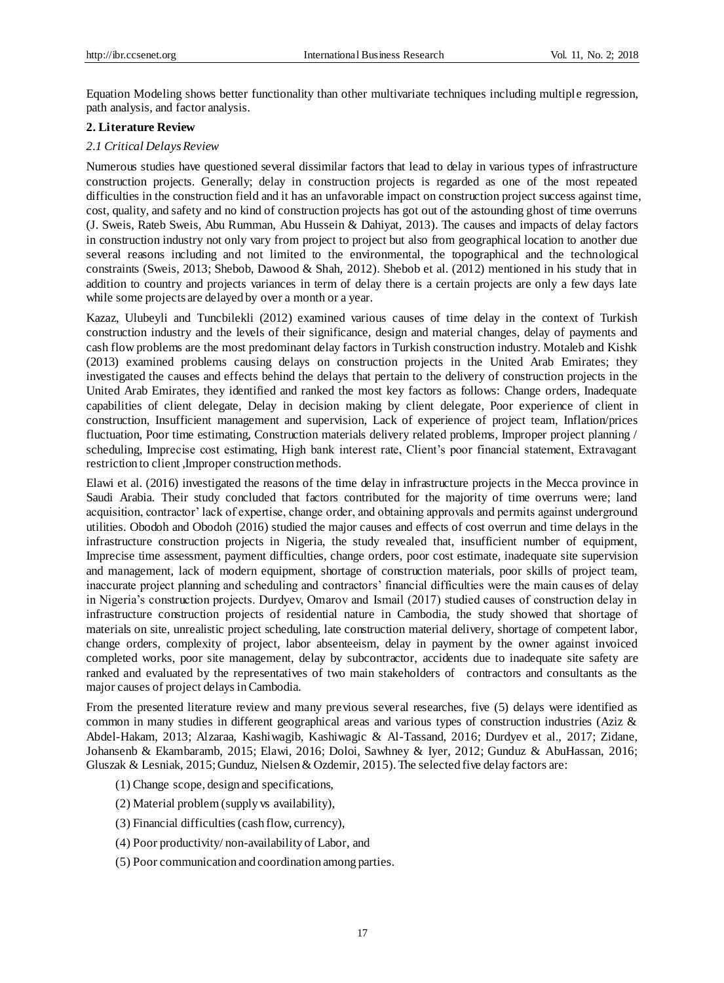Equation Modeling shows better functionality than other multivariate techniques including multiple regression, path analysis, and factor analysis.

#### **2. Literature Review**

#### *2.1 Critical Delays Review*

Numerous studies have questioned several dissimilar factors that lead to delay in various types of infrastructure construction projects. Generally; delay in construction projects is regarded as one of the most repeated difficulties in the construction field and it has an unfavorable impact on construction project success against time, cost, quality, and safety and no kind of construction projects has got out of the astounding ghost of time overruns (J. Sweis, Rateb Sweis, Abu Rumman, Abu Hussein & Dahiyat, 2013). The causes and impacts of delay factors in construction industry not only vary from project to project but also from geographical location to another due several reasons including and not limited to the environmental, the topographical and the technological constraints (Sweis, 2013; Shebob, Dawood & Shah, 2012). Shebob et al. (2012) mentioned in his study that in addition to country and projects variances in term of delay there is a certain projects are only a few days late while some projects are delayed by over a month or a year.

Kazaz, Ulubeyli and Tuncbilekli (2012) examined various causes of time delay in the context of Turkish construction industry and the levels of their significance, design and material changes, delay of payments and cash flow problems are the most predominant delay factors in Turkish construction industry. Motaleb and Kishk (2013) examined problems causing delays on construction projects in the United Arab Emirates; they investigated the causes and effects behind the delays that pertain to the delivery of construction projects in the United Arab Emirates, they identified and ranked the most key factors as follows: Change orders, Inadequate capabilities of client delegate, Delay in decision making by client delegate, Poor experience of client in construction, Insufficient management and supervision, Lack of experience of project team, Inflation/prices fluctuation, Poor time estimating, Construction materials delivery related problems, Improper project planning / scheduling, Imprecise cost estimating, High bank interest rate, Client's poor financial statement, Extravagant restriction to client ,Improper construction methods.

Elawi et al. (2016) investigated the reasons of the time delay in infrastructure projects in the Mecca province in Saudi Arabia. Their study concluded that factors contributed for the majority of time overruns were; land acquisition, contractor' lack of expertise, change order, and obtaining approvals and permits against underground utilities. Obodoh and Obodoh (2016) studied the major causes and effects of cost overrun and time delays in the infrastructure construction projects in Nigeria, the study revealed that, insufficient number of equipment, Imprecise time assessment, payment difficulties, change orders, poor cost estimate, inadequate site supervision and management, lack of modern equipment, shortage of construction materials, poor skills of project team, inaccurate project planning and scheduling and contractors' financial difficulties were the main causes of delay in Nigeria's construction projects. Durdyev, Omarov and Ismail (2017) studied causes of construction delay in infrastructure construction projects of residential nature in Cambodia, the study showed that shortage of materials on site, unrealistic project scheduling, late construction material delivery, shortage of competent labor, change orders, complexity of project, labor absenteeism, delay in payment by the owner against invoiced completed works, poor site management, delay by subcontractor, accidents due to inadequate site safety are ranked and evaluated by the representatives of two main stakeholders of contractors and consultants as the major causes of project delays in Cambodia.

From the presented literature review and many previous several researches, five (5) delays were identified as common in many studies in different geographical areas and various types of construction industries (Aziz & Abdel-Hakam, 2013; Alzaraa, Kashiwagib, Kashiwagic & Al-Tassand, 2016; Durdyev et al., 2017; Zidane, Johansenb & Ekambaramb, 2015; Elawi, 2016; Doloi, Sawhney & Iyer, 2012; Gunduz & AbuHassan, 2016; Gluszak & Lesniak, 2015; Gunduz, Nielsen & Ozdemir, 2015). The selected five delay factors are:

- (1) Change scope, design and specifications,
- (2) Material problem (supply vs availability),
- (3) Financial difficulties (cash flow, currency),
- (4) Poor productivity/ non-availability of Labor, and
- (5) Poor communication and coordination among parties.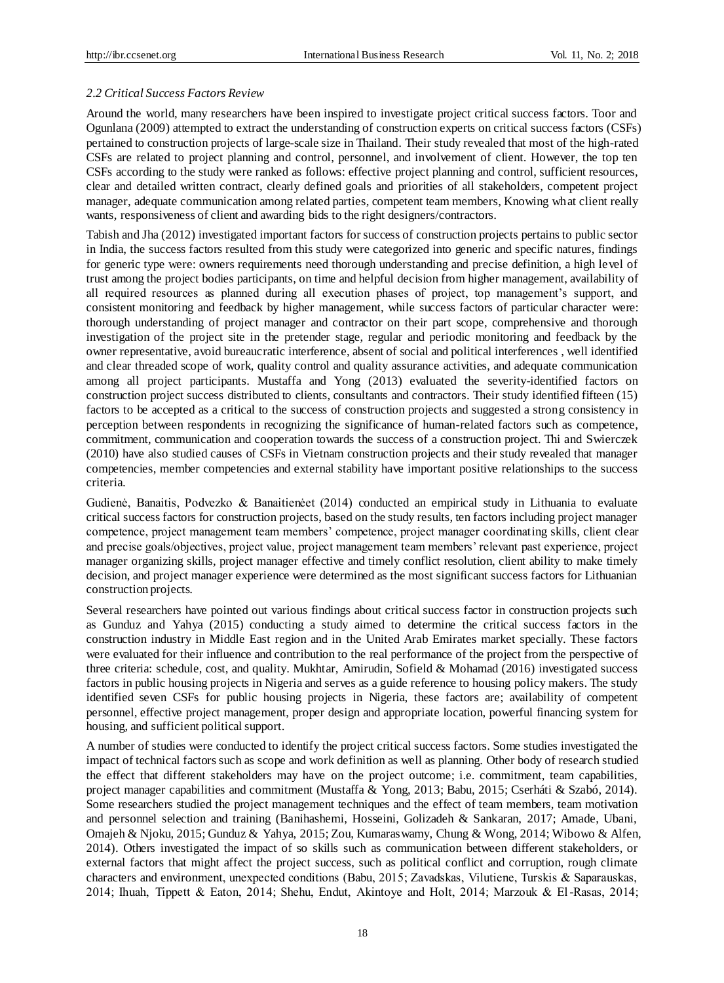#### *2.2 Critical Success Factors Review*

Around the world, many researchers have been inspired to investigate project critical success factors. Toor and Ogunlana (2009) attempted to extract the understanding of construction experts on critical success factors (CSFs) pertained to construction projects of large-scale size in Thailand. Their study revealed that most of the high-rated CSFs are related to project planning and control, personnel, and involvement of client. However, the top ten CSFs according to the study were ranked as follows: effective project planning and control, sufficient resources, clear and detailed written contract, clearly defined goals and priorities of all stakeholders, competent project manager, adequate communication among related parties, competent team members, Knowing what client really wants, responsiveness of client and awarding bids to the right designers/contractors.

Tabish and Jha (2012) investigated important factors for success of construction projects pertains to public sector in India, the success factors resulted from this study were categorized into generic and specific natures, findings for generic type were: owners requirements need thorough understanding and precise definition, a high level of trust among the project bodies participants, on time and helpful decision from higher management, availability of all required resources as planned during all execution phases of project, top management's support, and consistent monitoring and feedback by higher management, while success factors of particular character were: thorough understanding of project manager and contractor on their part scope, comprehensive and thorough investigation of the project site in the pretender stage, regular and periodic monitoring and feedback by the owner representative, avoid bureaucratic interference, absent of social and political interferences , well identified and clear threaded scope of work, quality control and quality assurance activities, and adequate communication among all project participants. Mustaffa and Yong (2013) evaluated the severity-identified factors on construction project success distributed to clients, consultants and contractors. Their study identified fifteen (15) factors to be accepted as a critical to the success of construction projects and suggested a strong consistency in perception between respondents in recognizing the significance of human-related factors such as competence, commitment, communication and cooperation towards the success of a construction project. Thi and Swierczek (2010) have also studied causes of CSFs in Vietnam construction projects and their study revealed that manager competencies, member competencies and external stability have important positive relationships to the success criteria.

Gudienė, Banaitis, Podvezko & Banaitienėet (2014) conducted an empirical study in Lithuania to evaluate critical success factors for construction projects, based on the study results, ten factors including project manager competence, project management team members' competence, project manager coordinating skills, client clear and precise goals/objectives, project value, project management team members' relevant past experience, project manager organizing skills, project manager effective and timely conflict resolution, client ability to make timely decision, and project manager experience were determined as the most significant success factors for Lithuanian construction projects.

Several researchers have pointed out various findings about critical success factor in construction projects such as Gunduz and Yahya (2015) conducting a study aimed to determine the critical success factors in the construction industry in Middle East region and in the United Arab Emirates market specially. These factors were evaluated for their influence and contribution to the real performance of the project from the perspective of three criteria: schedule, cost, and quality. Mukhtar, Amirudin, Sofield & Mohamad (2016) investigated success factors in public housing projects in Nigeria and serves as a guide reference to housing policy makers. The study identified seven CSFs for public housing projects in Nigeria, these factors are; availability of competent personnel, effective project management, proper design and appropriate location, powerful financing system for housing, and sufficient political support.

A number of studies were conducted to identify the project critical success factors. Some studies investigated the impact of technical factors such as scope and work definition as well as planning. Other body of research studied the effect that different stakeholders may have on the project outcome; i.e. commitment, team capabilities, project manager capabilities and commitment (Mustaffa & Yong, 2013; Babu, 2015; Cserháti & Szabó, 2014). Some researchers studied the project management techniques and the effect of team members, team motivation and personnel selection and training (Banihashemi, Hosseini, Golizadeh & Sankaran, 2017; Amade, Ubani, Omajeh & Njoku, 2015; Gunduz & Yahya, 2015; Zou, Kumaraswamy, Chung & Wong, 2014; Wibowo & Alfen, 2014). Others investigated the impact of so skills such as communication between different stakeholders, or external factors that might affect the project success, such as political conflict and corruption, rough climate characters and environment, unexpected conditions (Babu, 2015; Zavadskas, Vilutiene, Turskis & Saparauskas, 2014; Ihuah, Tippett & Eaton, 2014; Shehu, Endut, Akintoye and Holt, 2014; Marzouk & El-Rasas, 2014;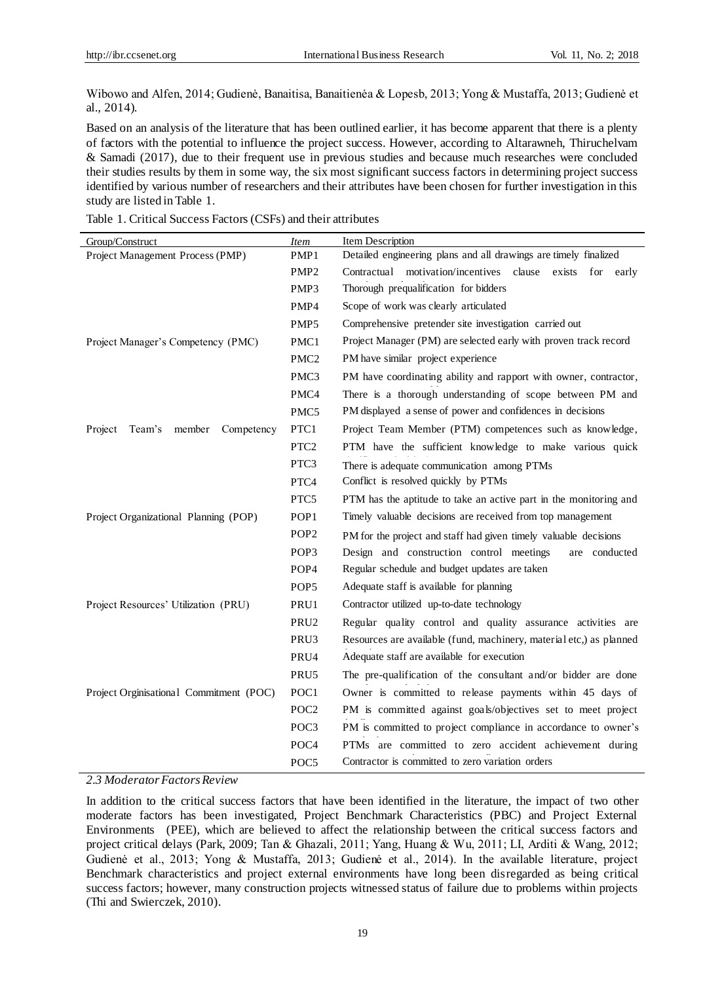Wibowo and Alfen, 2014; Gudienė, Banaitisa, Banaitienėa & Lopesb, 2013; Yong & Mustaffa, 2013; Gudienė et al., 2014).

Based on an analysis of the literature that has been outlined earlier, it has become apparent that there is a plenty of factors with the potential to influence the project success. However, according to Altarawneh, Thiruchelvam & Samadi (2017), due to their frequent use in previous studies and because much researches were concluded their studies results by them in some way, the six most significant success factors in determining project success identified by various number of researchers and their attributes have been chosen for further investigation in this study are listed in Table 1.

Table 1. Critical Success Factors (CSFs) and their attributes

| Group/Construct                           | <i>Item</i>      | Item Description                                                      |  |  |  |  |  |
|-------------------------------------------|------------------|-----------------------------------------------------------------------|--|--|--|--|--|
| Project Management Process (PMP)          | PMP1             | Detailed engineering plans and all drawings are timely finalized      |  |  |  |  |  |
|                                           | PMP <sub>2</sub> | Contractual motivation/incentives<br>clause<br>exists<br>for<br>early |  |  |  |  |  |
|                                           | PMP3             | Thorough prequalification for bidders                                 |  |  |  |  |  |
|                                           | PMP4             | Scope of work was clearly articulated                                 |  |  |  |  |  |
|                                           | PMP <sub>5</sub> | Comprehensive pretender site investigation carried out                |  |  |  |  |  |
| Project Manager's Competency (PMC)        | PMC1             | Project Manager (PM) are selected early with proven track record      |  |  |  |  |  |
|                                           | PMC <sub>2</sub> | PM have similar project experience                                    |  |  |  |  |  |
|                                           | PMC <sub>3</sub> | PM have coordinating ability and rapport with owner, contractor,      |  |  |  |  |  |
|                                           | PMC4             | There is a thorough understanding of scope between PM and             |  |  |  |  |  |
|                                           | PMC5             | PM displayed a sense of power and confidences in decisions            |  |  |  |  |  |
| Team's<br>Project<br>member<br>Competency | PTC1             | Project Team Member (PTM) competences such as knowledge,              |  |  |  |  |  |
|                                           | PTC <sub>2</sub> | PTM have the sufficient knowledge to make various quick               |  |  |  |  |  |
|                                           | PTC3             | There is adequate communication among PTMs                            |  |  |  |  |  |
|                                           | PTC4             | Conflict is resolved quickly by PTMs                                  |  |  |  |  |  |
|                                           | PTC5             | PTM has the aptitude to take an active part in the monitoring and     |  |  |  |  |  |
| Project Organizational Planning (POP)     | POP <sub>1</sub> | Timely valuable decisions are received from top management            |  |  |  |  |  |
|                                           | POP <sub>2</sub> | PM for the project and staff had given timely valuable decisions      |  |  |  |  |  |
|                                           | POP <sub>3</sub> | Design and construction control meetings<br>are conducted             |  |  |  |  |  |
|                                           | POP <sub>4</sub> | Regular schedule and budget updates are taken                         |  |  |  |  |  |
|                                           | POP <sub>5</sub> | Adequate staff is available for planning                              |  |  |  |  |  |
| Project Resources' Utilization (PRU)      | PRU1             | Contractor utilized up-to-date technology                             |  |  |  |  |  |
|                                           | PRU <sub>2</sub> | Regular quality control and quality assurance activities are          |  |  |  |  |  |
|                                           | PRU3             | Resources are available (fund, machinery, material etc,) as planned   |  |  |  |  |  |
|                                           | PRU4             | Adequate staff are available for execution                            |  |  |  |  |  |
|                                           | PRU5             | The pre-qualification of the consultant and/or bidder are done        |  |  |  |  |  |
| Project Orginisational Commitment (POC)   | POC1             | Owner is committed to release payments within 45 days of              |  |  |  |  |  |
|                                           | POC <sub>2</sub> | PM is committed against goals/objectives set to meet project          |  |  |  |  |  |
|                                           | POC <sub>3</sub> | PM is committed to project compliance in accordance to owner's        |  |  |  |  |  |
|                                           | POC <sub>4</sub> | PTMs are committed to zero accident achievement during                |  |  |  |  |  |
|                                           | POC <sub>5</sub> | Contractor is committed to zero variation orders                      |  |  |  |  |  |

# *2.3 Moderator Factors Review*

In addition to the critical success factors that have been identified in the literature, the impact of two other moderate factors has been investigated, Project Benchmark Characteristics (PBC) and Project External Environments (PEE), which are believed to affect the relationship between the critical success factors and project critical delays (Park, 2009; Tan & Ghazali, 2011; Yang, Huang & Wu, 2011; LI, Arditi & Wang, 2012; Gudienė et al., 2013; Yong & Mustaffa, 2013; Gudienė et al., 2014). In the available literature, project Benchmark characteristics and project external environments have long been disregarded as being critical success factors; however, many construction projects witnessed status of failure due to problems within projects (Thi and Swierczek, 2010).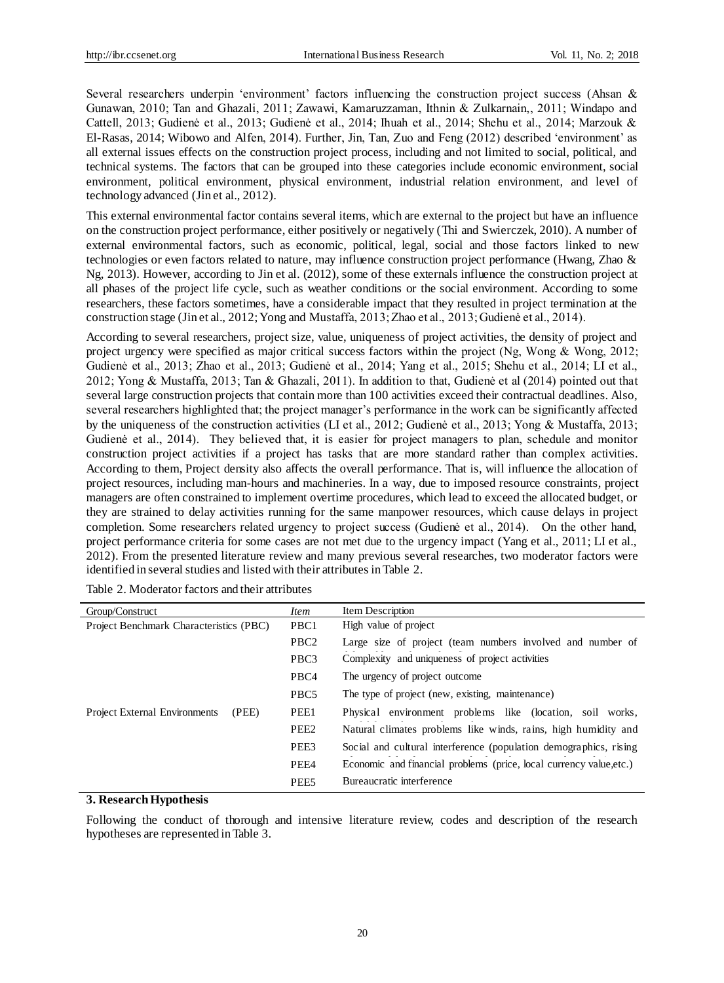Several researchers underpin 'environment' factors influencing the construction project success (Ahsan & Gunawan, 2010; Tan and Ghazali, 2011; Zawawi, Kamaruzzaman, Ithnin & Zulkarnain,, 2011; Windapo and Cattell, 2013; Gudienė et al., 2013; Gudienė et al., 2014; Ihuah et al., 2014; Shehu et al., 2014; Marzouk & El-Rasas, 2014; Wibowo and Alfen, 2014). Further, Jin, Tan, Zuo and Feng (2012) described 'environment' as all external issues effects on the construction project process, including and not limited to social, political, and technical systems. The factors that can be grouped into these categories include economic environment, social environment, political environment, physical environment, industrial relation environment, and level of technology advanced (Jin et al., 2012).

This external environmental factor contains several items, which are external to the project but have an influence on the construction project performance, either positively or negatively (Thi and Swierczek, 2010). A number of external environmental factors, such as economic, political, legal, social and those factors linked to new technologies or even factors related to nature, may influence construction project performance (Hwang, Zhao & Ng, 2013). However, according to Jin et al. (2012), some of these externals influence the construction project at all phases of the project life cycle, such as weather conditions or the social environment. According to some researchers, these factors sometimes, have a considerable impact that they resulted in project termination at the construction stage (Jin et al., 2012; Yong and Mustaffa, 2013; Zhao et al., 2013; Gudienė et al., 2014).

According to several researchers, project size, value, uniqueness of project activities, the density of project and project urgency were specified as major critical success factors within the project (Ng, Wong & Wong, 2012; Gudienė et al., 2013; Zhao et al., 2013; Gudienė et al., 2014; Yang et al., 2015; Shehu et al., 2014; LI et al., 2012; Yong & Mustaffa, 2013; Tan & Ghazali, 2011). In addition to that, Gudienė et al (2014) pointed out that several large construction projects that contain more than 100 activities exceed their contractual deadlines. Also, several researchers highlighted that; the project manager's performance in the work can be significantly affected by the uniqueness of the construction activities (LI et al., 2012; Gudienė et al., 2013; Yong & Mustaffa, 2013; Gudienė et al., 2014). They believed that, it is easier for project managers to plan, schedule and monitor construction project activities if a project has tasks that are more standard rather than complex activities. According to them, Project density also affects the overall performance. That is, will influence the allocation of project resources, including man-hours and machineries. In a way, due to imposed resource constraints, project managers are often constrained to implement overtime procedures, which lead to exceed the allocated budget, or they are strained to delay activities running for the same manpower resources, which cause delays in project completion. Some researchers related urgency to project success (Gudienė et al., 2014). On the other hand, project performance criteria for some cases are not met due to the urgency impact (Yang et al., 2011; LI et al., 2012). From the presented literature review and many previous several researches, two moderator factors were identified in several studies and listed with their attributes in Table 2.

| Group/Construct                               | <i>Item</i>      | Item Description                                                    |  |  |  |
|-----------------------------------------------|------------------|---------------------------------------------------------------------|--|--|--|
| Project Benchmark Characteristics (PBC)       | PBC1             | High value of project                                               |  |  |  |
|                                               | PBC <sub>2</sub> | Large size of project (team numbers involved and number of          |  |  |  |
|                                               | PBC <sub>3</sub> | Complexity and uniqueness of project activities                     |  |  |  |
|                                               | PBC <sub>4</sub> | The urgency of project outcome                                      |  |  |  |
|                                               | PBC <sub>5</sub> | The type of project (new, existing, maintenance)                    |  |  |  |
| (PEE)<br><b>Project External Environments</b> | PEE1             | Physical environment problems like (location, soil works,           |  |  |  |
|                                               | PEE <sub>2</sub> | Natural climates problems like winds, rains, high humidity and      |  |  |  |
|                                               | PEE <sub>3</sub> | Social and cultural interference (population demographics, rising   |  |  |  |
|                                               | PEF <sub>4</sub> | Economic and financial problems (price, local currency value, etc.) |  |  |  |
|                                               | PEE <sub>5</sub> | Bureaucratic interference                                           |  |  |  |

Table 2. Moderator factors and their attributes

#### **3. Research Hypothesis**

Following the conduct of thorough and intensive literature review, codes and description of the research hypotheses are represented in Table 3.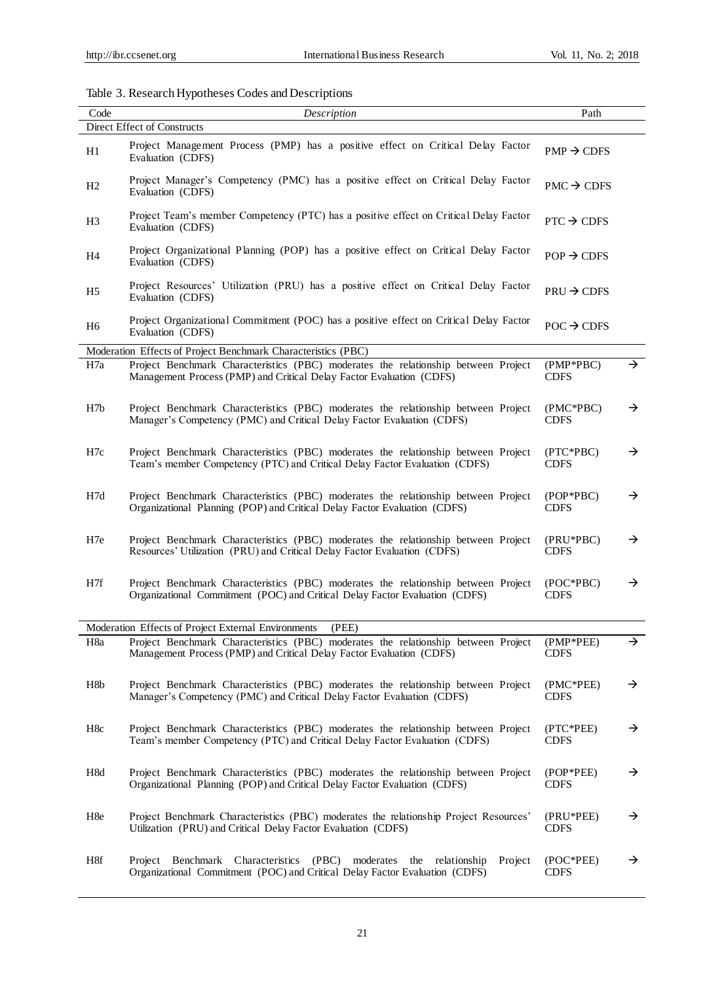# Table 3. Research Hypotheses Codes and Descriptions

| Code            |                                                                                                                                                                       | Path                     |               |
|-----------------|-----------------------------------------------------------------------------------------------------------------------------------------------------------------------|--------------------------|---------------|
|                 | Description<br>Direct Effect of Constructs                                                                                                                            |                          |               |
| H1              | Project Management Process (PMP) has a positive effect on Critical Delay Factor                                                                                       | $PMP \rightarrow CDFS$   |               |
|                 | Evaluation (CDFS)                                                                                                                                                     |                          |               |
| H <sub>2</sub>  | Project Manager's Competency (PMC) has a positive effect on Critical Delay Factor<br>Evaluation (CDFS)                                                                | $PMC \rightarrow CDFS$   |               |
| H3              | Project Team's member Competency (PTC) has a positive effect on Critical Delay Factor<br>Evaluation (CDFS)                                                            | $PTC \rightarrow CDFS$   |               |
| H4              | Project Organizational Planning (POP) has a positive effect on Critical Delay Factor<br>Evaluation (CDFS)                                                             | $POP \rightarrow CDFS$   |               |
| H5              | Project Resources' Utilization (PRU) has a positive effect on Critical Delay Factor<br>Evaluation (CDFS)                                                              | $PRU \rightarrow CDFS$   |               |
| H <sub>6</sub>  | Project Organizational Commitment (POC) has a positive effect on Critical Delay Factor<br>Evaluation (CDFS)                                                           | $POC \rightarrow CDFS$   |               |
|                 | Moderation Effects of Project Benchmark Characteristics (PBC)                                                                                                         |                          |               |
| H7a             | Project Benchmark Characteristics (PBC) moderates the relationship between Project<br>Management Process (PMP) and Critical Delay Factor Evaluation (CDFS)            | (PMP*PBC)<br><b>CDFS</b> | $\rightarrow$ |
| H7b             | Project Benchmark Characteristics (PBC) moderates the relationship between Project<br>Manager's Competency (PMC) and Critical Delay Factor Evaluation (CDFS)          | (PMC*PBC)<br><b>CDFS</b> | $\rightarrow$ |
| H7c             | Project Benchmark Characteristics (PBC) moderates the relationship between Project<br>Team's member Competency (PTC) and Critical Delay Factor Evaluation (CDFS)      | (PTC*PBC)<br><b>CDFS</b> | $\rightarrow$ |
| H7d             | Project Benchmark Characteristics (PBC) moderates the relationship between Project<br>Organizational Planning (POP) and Critical Delay Factor Evaluation (CDFS)       | (POP*PBC)<br><b>CDFS</b> | $\rightarrow$ |
| H7e             | Project Benchmark Characteristics (PBC) moderates the relationship between Project<br>Resources' Utilization (PRU) and Critical Delay Factor Evaluation (CDFS)        | (PRU*PBC)<br><b>CDFS</b> | $\rightarrow$ |
| H7f             | Project Benchmark Characteristics (PBC) moderates the relationship between Project<br>Organizational Commitment (POC) and Critical Delay Factor Evaluation (CDFS)     | (POC*PBC)<br><b>CDFS</b> | $\rightarrow$ |
|                 |                                                                                                                                                                       |                          |               |
|                 | Moderation Effects of Project External Environments<br>(PEE)                                                                                                          |                          |               |
| H <sub>8a</sub> | Project Benchmark Characteristics (PBC) moderates the relationship between Project<br>Management Process (PMP) and Critical Delay Factor Evaluation (CDFS)            | (PMP*PEE)<br><b>CDFS</b> | $\rightarrow$ |
| H8b             | Project Benchmark Characteristics (PBC) moderates the relationship between Project<br>Manager's Competency (PMC) and Critical Delay Factor Evaluation (CDFS)          | (PMC*PEE)<br><b>CDFS</b> | $\rightarrow$ |
| H8c             | Project Benchmark Characteristics (PBC) moderates the relationship between Project<br>Team's member Competency (PTC) and Critical Delay Factor Evaluation (CDFS)      | (PTC*PEE)<br><b>CDFS</b> | →             |
| H8d             | Project Benchmark Characteristics (PBC) moderates the relationship between Project<br>Organizational Planning (POP) and Critical Delay Factor Evaluation (CDFS)       | (POP*PEE)<br><b>CDFS</b> | →             |
| H8e             | Project Benchmark Characteristics (PBC) moderates the relationship Project Resources'<br>Utilization (PRU) and Critical Delay Factor Evaluation (CDFS)                | (PRU*PEE)<br><b>CDFS</b> | →             |
| H8f             | Project Benchmark Characteristics<br>(PBC) moderates<br>the<br>relationship<br>Project<br>Organizational Commitment (POC) and Critical Delay Factor Evaluation (CDFS) | (POC*PEE)<br><b>CDFS</b> | →             |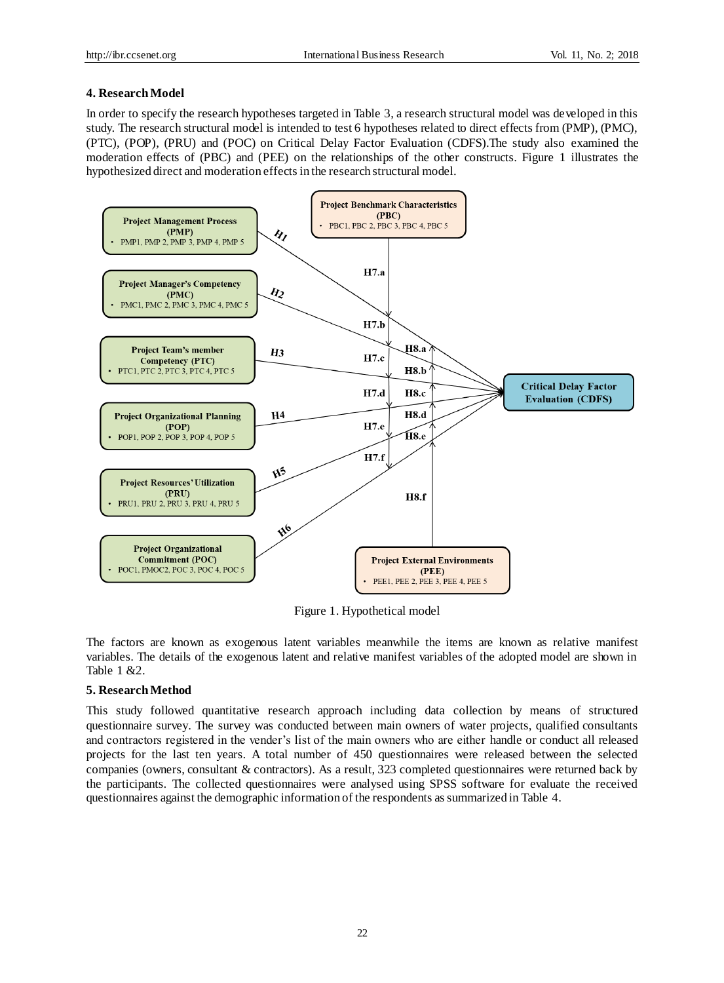#### **4. Research Model**

In order to specify the research hypotheses targeted in Table 3, a research structural model was developed in this study. The research structural model is intended to test 6 hypotheses related to direct effects from (PMP), (PMC), (PTC), (POP), (PRU) and (POC) on Critical Delay Factor Evaluation (CDFS).The study also examined the moderation effects of (PBC) and (PEE) on the relationships of the other constructs. Figure 1 illustrates the hypothesized direct and moderation effects in the research structural model.



Figure 1. Hypothetical model

The factors are known as exogenous latent variables meanwhile the items are known as relative manifest variables. The details of the exogenous latent and relative manifest variables of the adopted model are shown in Table 1 &2.

#### **5. Research Method**

This study followed quantitative research approach including data collection by means of structured questionnaire survey. The survey was conducted between main owners of water projects, qualified consultants and contractors registered in the vender's list of the main owners who are either handle or conduct all released projects for the last ten years. A total number of 450 questionnaires were released between the selected companies (owners, consultant & contractors). As a result, 323 completed questionnaires were returned back by the participants. The collected questionnaires were analysed using SPSS software for evaluate the received questionnaires against the demographic information of the respondents as summarized in Table 4.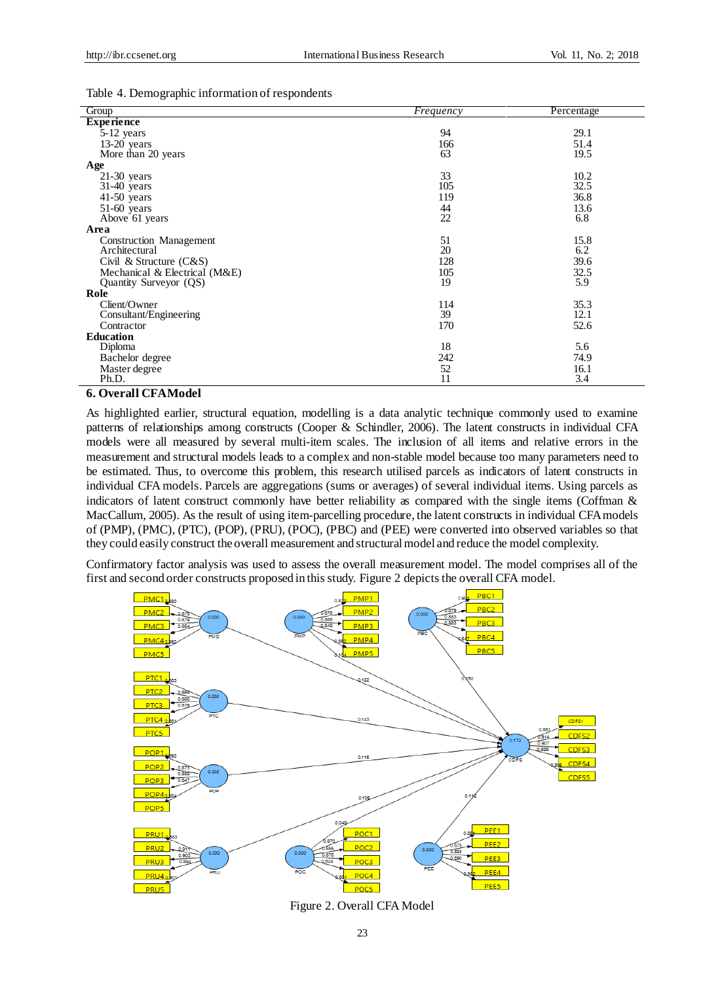| Table 4. Demographic information of respondents |  |  |  |
|-------------------------------------------------|--|--|--|
|                                                 |  |  |  |

| Group                         | Frequency | Percentage |
|-------------------------------|-----------|------------|
| <b>Experience</b>             |           |            |
| $5-12$ years                  | 94        | 29.1       |
| $13-20$ years                 | 166       | 51.4       |
| More than 20 years            | 63        | 19.5       |
| Age                           |           |            |
| $21-30$ years                 | 33        | 10.2       |
| $31-40$ years                 | 105       | 32.5       |
| $41-50$ years                 | 119       | 36.8       |
| $51-60$ years                 | 44        | 13.6       |
| Above 61 years                | 22        | 6.8        |
| Area                          |           |            |
| Construction Management       | 51        | 15.8       |
| Architectural                 | 20        | 6.2        |
| Civil & Structure $(C & S)$   | 128       | 39.6       |
| Mechanical & Electrical (M&E) | 105       | 32.5       |
| Quantity Surveyor (QS)        | 19        | 5.9        |
| Role                          |           |            |
| Client/Owner                  | 114       | 35.3       |
| Consultant/Engineering        | 39        | 12.1       |
| Contractor                    | 170       | 52.6       |
| <b>Education</b>              |           |            |
| Diploma                       | 18        | 5.6        |
| Bachelor degree               | 242       | 74.9       |
| Master degree                 | 52        | 16.1       |
| Ph.D.                         | 11        | 3.4        |

# **6. Overall CFA Model**

As highlighted earlier, structural equation, modelling is a data analytic technique commonly used to examine patterns of relationships among constructs (Cooper & Schindler, 2006). The latent constructs in individual CFA models were all measured by several multi-item scales. The inclusion of all items and relative errors in the measurement and structural models leads to a complex and non-stable model because too many parameters need to be estimated. Thus, to overcome this problem, this research utilised parcels as indicators of latent constructs in individual CFA models. Parcels are aggregations (sums or averages) of several individual items. Using parcels as indicators of latent construct commonly have better reliability as compared with the single items (Coffman & MacCallum, 2005). As the result of using item-parcelling procedure, the latent constructs in individual CFA models of (PMP), (PMC), (PTC), (POP), (PRU), (POC), (PBC) and (PEE) were converted into observed variables so that they could easily construct the overall measurement and structural model and reduce the model complexity.

Confirmatory factor analysis was used to assess the overall measurement model. The model comprises all of the first and second order constructs proposed in this study. Figure 2 depicts the overall CFA model.



Figure 2. Overall CFA Model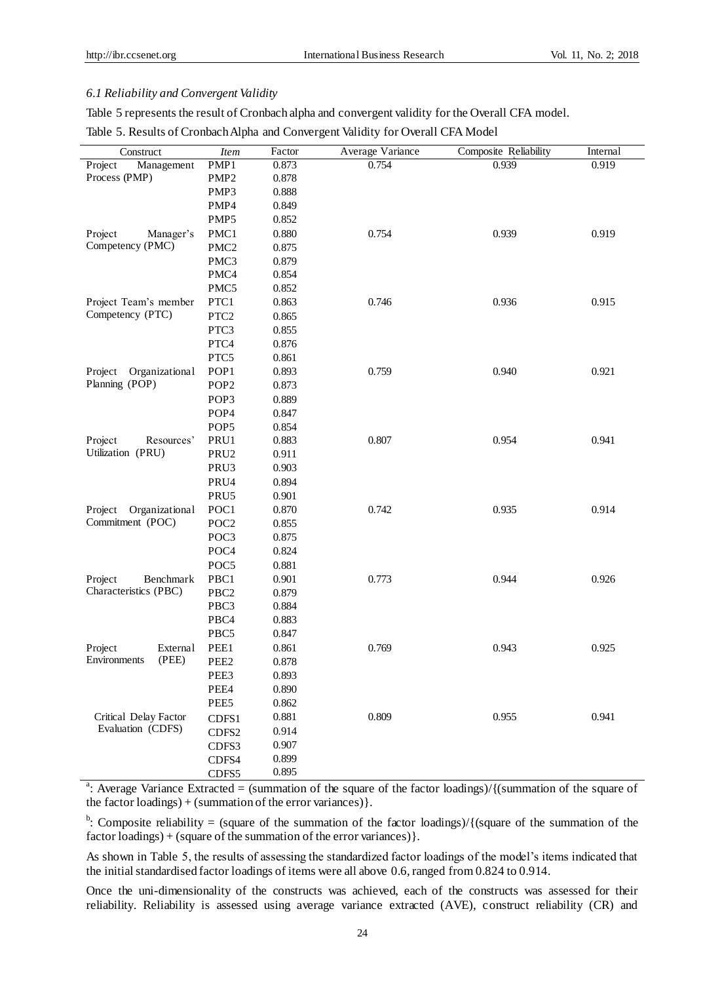#### *6.1 Reliability and Convergent Validity*

Table 5 represents the result of Cronbach alpha and convergent validity for the Overall CFA model.

Table 5. Results of Cronbach Alpha and Convergent Validity for Overall CFA Model

| Construct                 | <b>Item</b>      | Factor | Average Variance | Composite Reliability | Internal |
|---------------------------|------------------|--------|------------------|-----------------------|----------|
| Project<br>Management     | PMP1             | 0.873  | 0.754            | 0.939                 | 0.919    |
| Process (PMP)             | PMP <sub>2</sub> | 0.878  |                  |                       |          |
|                           | PMP3             | 0.888  |                  |                       |          |
|                           | PMP4             | 0.849  |                  |                       |          |
|                           | PMP5             | 0.852  |                  |                       |          |
| Project<br>Manager's      | PMC1             | 0.880  | 0.754            | 0.939                 | 0.919    |
| Competency (PMC)          | PMC <sub>2</sub> | 0.875  |                  |                       |          |
|                           | PMC3             | 0.879  |                  |                       |          |
|                           | $\rm PMC4$       | 0.854  |                  |                       |          |
|                           | PMC5             | 0.852  |                  |                       |          |
| Project Team's member     | PTC1             | 0.863  | 0.746            | 0.936                 | 0.915    |
| Competency (PTC)          | PTC <sub>2</sub> | 0.865  |                  |                       |          |
|                           | PTC3             | 0.855  |                  |                       |          |
|                           | PTC4             | 0.876  |                  |                       |          |
|                           | PTC5             | 0.861  |                  |                       |          |
| Project Organizational    | POP1             | 0.893  | 0.759            | 0.940                 | 0.921    |
| Planning (POP)            | POP <sub>2</sub> | 0.873  |                  |                       |          |
|                           | POP3             | 0.889  |                  |                       |          |
|                           | POP4             | 0.847  |                  |                       |          |
|                           | POP <sub>5</sub> | 0.854  |                  |                       |          |
| Project<br>Resources'     | PRU1             | 0.883  | 0.807            | 0.954                 | 0.941    |
| Utilization (PRU)         | PRU <sub>2</sub> | 0.911  |                  |                       |          |
|                           | PRU3             | 0.903  |                  |                       |          |
|                           | PRU4             | 0.894  |                  |                       |          |
|                           | PRU5             | 0.901  |                  |                       |          |
| Project<br>Organizational | POC1             | 0.870  | 0.742            | 0.935                 | 0.914    |
| Commitment (POC)          | POC <sub>2</sub> | 0.855  |                  |                       |          |
|                           | POC3             | 0.875  |                  |                       |          |
|                           | POC <sub>4</sub> | 0.824  |                  |                       |          |
|                           | POC5             | 0.881  |                  |                       |          |
| Project<br>Benchmark      | PBC1             | 0.901  | 0.773            | 0.944                 | 0.926    |
| Characteristics (PBC)     | PBC <sub>2</sub> | 0.879  |                  |                       |          |
|                           | PBC3             | 0.884  |                  |                       |          |
|                           | PBC4             | 0.883  |                  |                       |          |
|                           | PBC5             | 0.847  |                  |                       |          |
| Project<br>External       | PEE1             | 0.861  | 0.769            | 0.943                 | 0.925    |
| (PEE)<br>Environments     | PEE <sub>2</sub> | 0.878  |                  |                       |          |
|                           | PEE3             | 0.893  |                  |                       |          |
|                           | PEE4             | 0.890  |                  |                       |          |
|                           | PEE5             | 0.862  |                  |                       |          |
| Critical Delay Factor     | CDFS1            | 0.881  | 0.809            | 0.955                 | 0.941    |
| Evaluation (CDFS)         | CDFS2            | 0.914  |                  |                       |          |
|                           | CDFS3            | 0.907  |                  |                       |          |
|                           | CDFS4            | 0.899  |                  |                       |          |
|                           | CDFS5            | 0.895  |                  |                       |          |

<sup>a</sup>: Average Variance Extracted = (summation of the square of the factor loadings)/ $\{$ (summation of the square of the factor loadings) + (summation of the error variances) }.

<sup>b</sup>: Composite reliability = (square of the summation of the factor loadings)/{(square of the summation of the factor loadings) + (square of the summation of the error variances)}.

As shown in Table 5, the results of assessing the standardized factor loadings of the model's items indicated that the initial standardised factor loadings of items were all above 0.6, ranged from 0.824 to 0.914.

Once the uni-dimensionality of the constructs was achieved, each of the constructs was assessed for their reliability. Reliability is assessed using average variance extracted (AVE), construct reliability (CR) and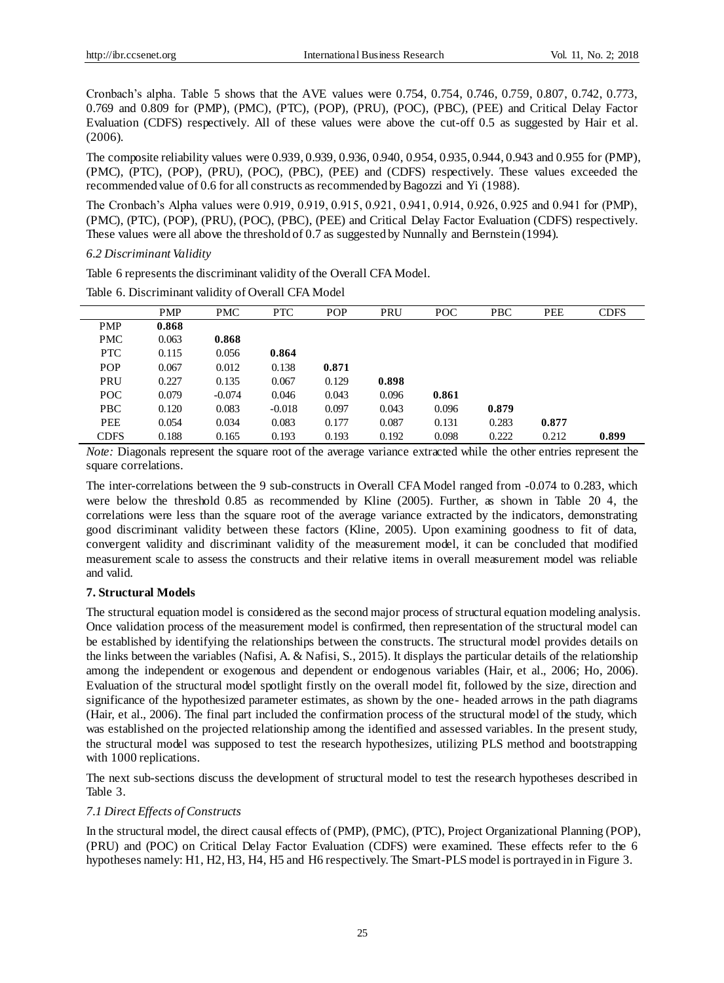Cronbach's alpha. Table 5 shows that the AVE values were 0.754, 0.754, 0.746, 0.759, 0.807, 0.742, 0.773, 0.769 and 0.809 for (PMP), (PMC), (PTC), (POP), (PRU), (POC), (PBC), (PEE) and Critical Delay Factor Evaluation (CDFS) respectively. All of these values were above the cut-off 0.5 as suggested by Hair et al. (2006).

The composite reliability values were 0.939, 0.939, 0.936, 0.940, 0.954, 0.935, 0.944, 0.943 and 0.955 for (PMP), (PMC), (PTC), (POP), (PRU), (POC), (PBC), (PEE) and (CDFS) respectively. These values exceeded the recommended value of 0.6 for all constructs as recommended by Bagozzi and Yi (1988).

The Cronbach's Alpha values were 0.919, 0.919, 0.915, 0.921, 0.941, 0.914, 0.926, 0.925 and 0.941 for (PMP), (PMC), (PTC), (POP), (PRU), (POC), (PBC), (PEE) and Critical Delay Factor Evaluation (CDFS) respectively. These values were all above the threshold of 0.7 as suggested by Nunnally and Bernstein (1994).

# *6.2 Discriminant Validity*

Table 6 represents the discriminant validity of the Overall CFA Model.

|             | <b>PMP</b> | <b>PMC</b> | <b>PTC</b> | <b>POP</b> | PRU   | <b>POC</b> | <b>PBC</b> | <b>PEE</b> | <b>CDFS</b> |
|-------------|------------|------------|------------|------------|-------|------------|------------|------------|-------------|
| <b>PMP</b>  | 0.868      |            |            |            |       |            |            |            |             |
| <b>PMC</b>  | 0.063      | 0.868      |            |            |       |            |            |            |             |
| <b>PTC</b>  | 0.115      | 0.056      | 0.864      |            |       |            |            |            |             |
| <b>POP</b>  | 0.067      | 0.012      | 0.138      | 0.871      |       |            |            |            |             |
| PRU         | 0.227      | 0.135      | 0.067      | 0.129      | 0.898 |            |            |            |             |
| POC         | 0.079      | $-0.074$   | 0.046      | 0.043      | 0.096 | 0.861      |            |            |             |
| <b>PBC</b>  | 0.120      | 0.083      | $-0.018$   | 0.097      | 0.043 | 0.096      | 0.879      |            |             |
| <b>PEE</b>  | 0.054      | 0.034      | 0.083      | 0.177      | 0.087 | 0.131      | 0.283      | 0.877      |             |
| <b>CDFS</b> | 0.188      | 0.165      | 0.193      | 0.193      | 0.192 | 0.098      | 0.222      | 0.212      | 0.899       |

Table 6. Discriminant validity of Overall CFA Model

*Note:* Diagonals represent the square root of the average variance extracted while the other entries represent the square correlations.

The inter-correlations between the 9 sub-constructs in Overall CFA Model ranged from -0.074 to 0.283, which were below the threshold 0.85 as recommended by Kline (2005). Further, as shown in Table 20 4, the correlations were less than the square root of the average variance extracted by the indicators, demonstrating good discriminant validity between these factors (Kline, 2005). Upon examining goodness to fit of data, convergent validity and discriminant validity of the measurement model, it can be concluded that modified measurement scale to assess the constructs and their relative items in overall measurement model was reliable and valid.

# **7. Structural Models**

The structural equation model is considered as the second major process of structural equation modeling analysis. Once validation process of the measurement model is confirmed, then representation of the structural model can be established by identifying the relationships between the constructs. The structural model provides details on the links between the variables (Nafisi, A. & Nafisi, S., 2015). It displays the particular details of the relationship among the independent or exogenous and dependent or endogenous variables (Hair, et al., 2006; Ho, 2006). Evaluation of the structural model spotlight firstly on the overall model fit, followed by the size, direction and significance of the hypothesized parameter estimates, as shown by the one- headed arrows in the path diagrams (Hair, et al., 2006). The final part included the confirmation process of the structural model of the study, which was established on the projected relationship among the identified and assessed variables. In the present study, the structural model was supposed to test the research hypothesizes, utilizing PLS method and bootstrapping with 1000 replications.

The next sub-sections discuss the development of structural model to test the research hypotheses described in Table 3.

# *7.1 Direct Effects of Constructs*

In the structural model, the direct causal effects of (PMP), (PMC), (PTC), Project Organizational Planning (POP), (PRU) and (POC) on Critical Delay Factor Evaluation (CDFS) were examined. These effects refer to the 6 hypotheses namely: H1, H2, H3, H4, H5 and H6 respectively. The Smart-PLS model is portrayed in in Figure 3.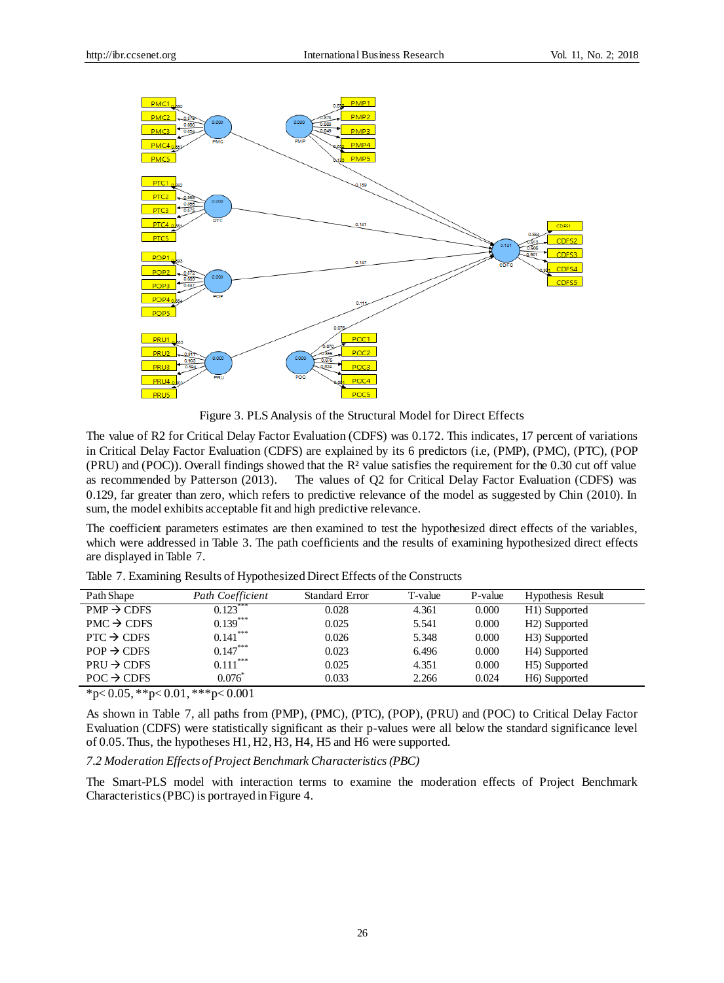

Figure 3. PLS Analysis of the Structural Model for Direct Effects

The value of R2 for Critical Delay Factor Evaluation (CDFS) was 0.172. This indicates, 17 percent of variations in Critical Delay Factor Evaluation (CDFS) are explained by its 6 predictors (i.e, (PMP), (PMC), (PTC), (POP (PRU) and (POC)). Overall findings showed that the R² value satisfies the requirement for the 0.30 cut off value as recommended by Patterson (2013). The values of Q2 for Critical Delay Factor Evaluation (CDFS) was 0.129, far greater than zero, which refers to predictive relevance of the model as suggested by Chin (2010). In sum, the model exhibits acceptable fit and high predictive relevance.

The coefficient parameters estimates are then examined to test the hypothesized direct effects of the variables, which were addressed in Table 3. The path coefficients and the results of examining hypothesized direct effects are displayed in Table 7.

| Path Shape             | Path Coefficient | Standard Error | T-value | P-value | Hypothesis Result          |
|------------------------|------------------|----------------|---------|---------|----------------------------|
| $PMP \rightarrow CDFS$ | $0.123***$       | 0.028          | 4.361   | 0.000   | H <sub>1</sub> ) Supported |
| $PMC \rightarrow CDFS$ | $0.139***$       | 0.025          | 5.541   | 0.000   | H <sub>2</sub> ) Supported |
| $PTC \rightarrow CDFS$ | $0.141***$       | 0.026          | 5.348   | 0.000   | H <sub>3</sub> ) Supported |
| $POP \rightarrow CDFS$ | $0.147***$       | 0.023          | 6.496   | 0.000   | H <sub>4</sub> ) Supported |
| $PRU \rightarrow CDFS$ | $0.111***$       | 0.025          | 4.351   | 0.000   | H <sub>5</sub> ) Supported |
| $POC \rightarrow CDFS$ | 0.076            | 0.033          | 2.266   | 0.024   | H <sub>6</sub> ) Supported |
| $4.007 + 4.001 + 4.4$  |                  |                |         |         |                            |

Table 7. Examining Results of Hypothesized Direct Effects of the Constructs

\*p< 0.05, \*\*p< 0.01, \*\*\*p< 0.001

As shown in Table 7, all paths from (PMP), (PMC), (PTC), (POP), (PRU) and (POC) to Critical Delay Factor Evaluation (CDFS) were statistically significant as their p-values were all below the standard significance level of 0.05. Thus, the hypotheses H1, H2, H3, H4, H5 and H6 were supported.

*7.2 Moderation Effects of Project Benchmark Characteristics (PBC)*

The Smart-PLS model with interaction terms to examine the moderation effects of Project Benchmark Characteristics (PBC) is portrayed in Figure 4.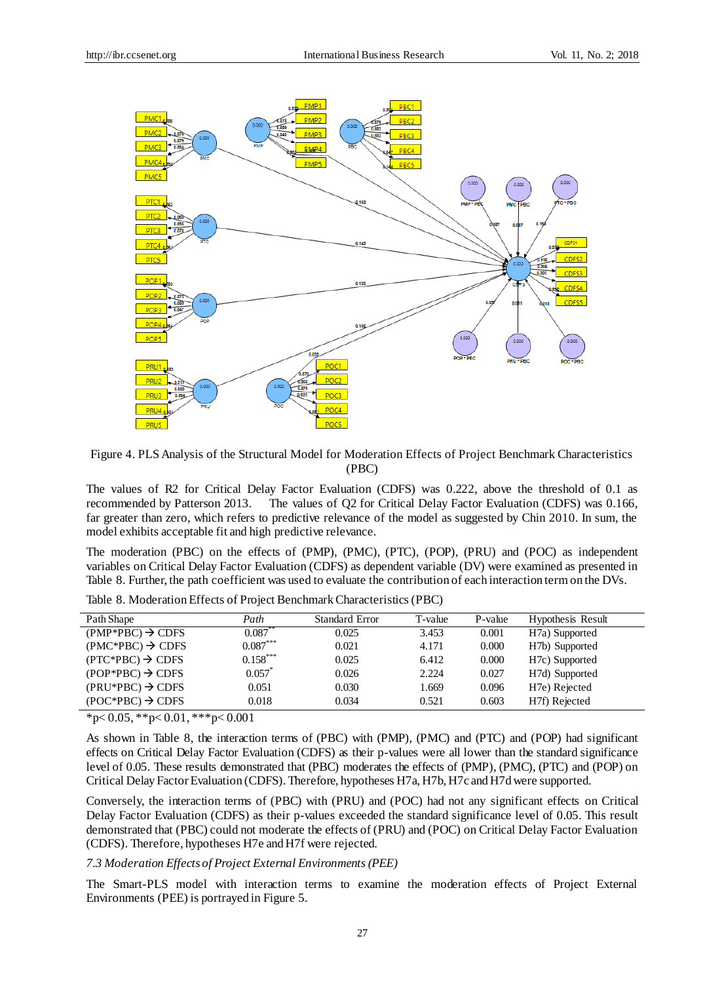

Figure 4. PLS Analysis of the Structural Model for Moderation Effects of Project Benchmark Characteristics (PBC)

The values of R2 for Critical Delay Factor Evaluation (CDFS) was 0.222, above the threshold of 0.1 as recommended by Patterson 2013. The values of Q2 for Critical Delay Factor Evaluation (CDFS) was 0.166, far greater than zero, which refers to predictive relevance of the model as suggested by Chin 2010. In sum, the model exhibits acceptable fit and high predictive relevance.

The moderation (PBC) on the effects of (PMP), (PMC), (PTC), (POP), (PRU) and (POC) as independent variables on Critical Delay Factor Evaluation (CDFS) as dependent variable (DV) were examined as presented in Table 8. Further, the path coefficient was used to evaluate the contribution of each interaction term on the DVs.

| Path Shape                   | Path                   | <b>Standard Error</b> | T-value | P-value | <b>Hypothesis Result</b>    |
|------------------------------|------------------------|-----------------------|---------|---------|-----------------------------|
| $(PMP*PBC) \rightarrow CDFS$ | $0.087$ **             | 0.025                 | 3.453   | 0.001   | H7a) Supported              |
| $(PMC*PBC) \rightarrow CDFS$ | $0.087^{\ast\ast\ast}$ | 0.021                 | 4.171   | 0.000   | H <sub>7</sub> b) Supported |
| $(PTC*PBC) \rightarrow CDFS$ | $0.158***$             | 0.025                 | 6.412   | 0.000   | H <sub>7</sub> c) Supported |
| $(POP*PBC) \rightarrow CDFS$ | $0.057$ *              | 0.026                 | 2.224   | 0.027   | H7d) Supported              |
| $(PRU*PBC) \rightarrow CDFS$ | 0.051                  | 0.030                 | 1.669   | 0.096   | H7e) Rejected               |
| $(POC*PBC) \rightarrow CDFS$ | 0.018                  | 0.034                 | 0.521   | 0.603   | H7f) Rejected               |

Table 8. Moderation Effects of Project Benchmark Characteristics (PBC)

 $*_{p< 0.05}$ ,  $*_{p< 0.01}$ ,  $*_{p< 0.001}$ 

As shown in Table 8, the interaction terms of (PBC) with (PMP), (PMC) and (PTC) and (POP) had significant effects on Critical Delay Factor Evaluation (CDFS) as their p-values were all lower than the standard significance level of 0.05. These results demonstrated that (PBC) moderates the effects of (PMP), (PMC), (PTC) and (POP) on Critical Delay Factor Evaluation (CDFS). Therefore, hypotheses H7a, H7b, H7c and H7d were supported.

Conversely, the interaction terms of (PBC) with (PRU) and (POC) had not any significant effects on Critical Delay Factor Evaluation (CDFS) as their p-values exceeded the standard significance level of 0.05. This result demonstrated that (PBC) could not moderate the effects of (PRU) and (POC) on Critical Delay Factor Evaluation (CDFS). Therefore, hypotheses H7e and H7f were rejected.

#### *7.3 Moderation Effects of Project External Environments (PEE)*

The Smart-PLS model with interaction terms to examine the moderation effects of Project External Environments (PEE) is portrayed in Figure 5.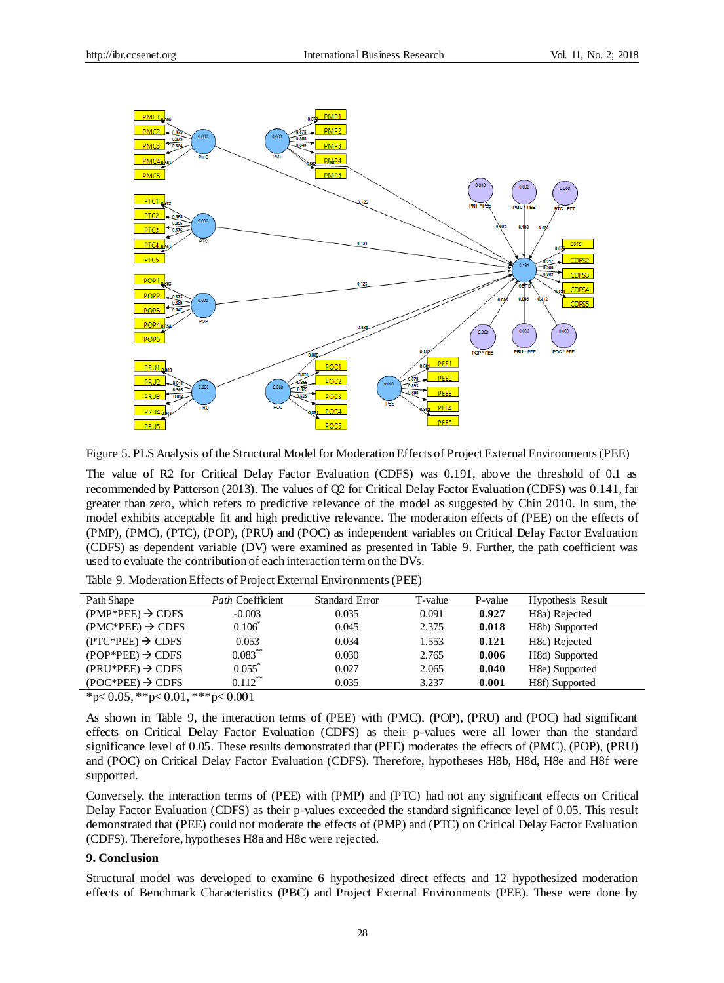

Figure 5. PLS Analysis of the Structural Model for Moderation Effects of Project External Environments (PEE)

The value of R2 for Critical Delay Factor Evaluation (CDFS) was 0.191, above the threshold of 0.1 as recommended by Patterson (2013). The values of Q2 for Critical Delay Factor Evaluation (CDFS) was 0.141, far greater than zero, which refers to predictive relevance of the model as suggested by Chin 2010. In sum, the model exhibits acceptable fit and high predictive relevance. The moderation effects of (PEE) on the effects of (PMP), (PMC), (PTC), (POP), (PRU) and (POC) as independent variables on Critical Delay Factor Evaluation (CDFS) as dependent variable (DV) were examined as presented in Table 9. Further, the path coefficient was used to evaluate the contribution of each interaction term on the DVs.

| Path Shape                                                           | <i>Path</i> Coefficient | Standard Error | T-value | P-value | <b>Hypothesis Result</b>   |
|----------------------------------------------------------------------|-------------------------|----------------|---------|---------|----------------------------|
| $(PMP*PEE) \rightarrow CDFS$                                         | $-0.003$                | 0.035          | 0.091   | 0.927   | H <sub>8</sub> a) Rejected |
| $(PMC*PEE) \rightarrow CDFS$                                         | $0.106^*$               | 0.045          | 2.375   | 0.018   | H8b) Supported             |
| $(PTC*PEE) \rightarrow CDFS$                                         | 0.053                   | 0.034          | 1.553   | 0.121   | H <sub>8</sub> c) Rejected |
| $(POP*PEE) \rightarrow CDFS$                                         | $0.083***$              | 0.030          | 2.765   | 0.006   | H8d) Supported             |
| $(PRU*PEE) \rightarrow CDFS$                                         | 0.055                   | 0.027          | 2.065   | 0.040   | H8e) Supported             |
| $(POC*PEE) \rightarrow CDFS$                                         | $0.112***$              | 0.035          | 3.237   | 0.001   | H8f) Supported             |
| $*_{12}$ $\wedge$ 0.6 $*_{23}$ $\wedge$ 0.01 $*_{23}$ $\wedge$ 0.001 |                         |                |         |         |                            |

Table 9. Moderation Effects of Project External Environments (PEE)

 $*p< 0.05, **p< 0.01, **p< 0.001$ 

As shown in Table 9, the interaction terms of (PEE) with (PMC), (POP), (PRU) and (POC) had significant effects on Critical Delay Factor Evaluation (CDFS) as their p-values were all lower than the standard significance level of 0.05. These results demonstrated that (PEE) moderates the effects of (PMC), (POP), (PRU) and (POC) on Critical Delay Factor Evaluation (CDFS). Therefore, hypotheses H8b, H8d, H8e and H8f were supported.

Conversely, the interaction terms of (PEE) with (PMP) and (PTC) had not any significant effects on Critical Delay Factor Evaluation (CDFS) as their p-values exceeded the standard significance level of 0.05. This result demonstrated that (PEE) could not moderate the effects of (PMP) and (PTC) on Critical Delay Factor Evaluation (CDFS). Therefore, hypotheses H8a and H8c were rejected.

#### **9. Conclusion**

Structural model was developed to examine 6 hypothesized direct effects and 12 hypothesized moderation effects of Benchmark Characteristics (PBC) and Project External Environments (PEE). These were done by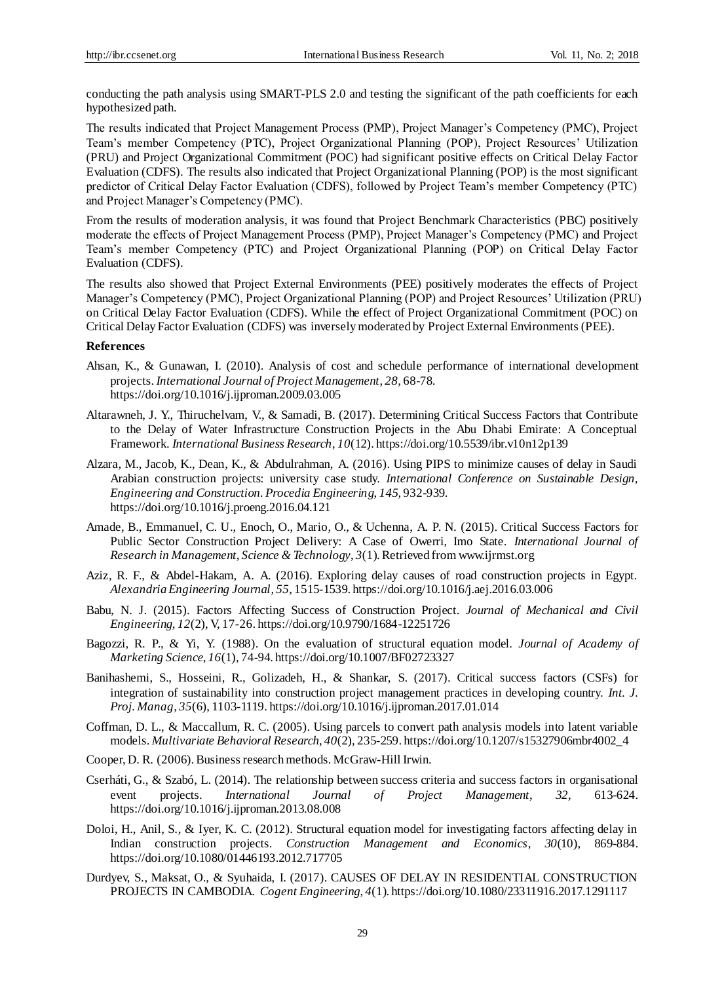conducting the path analysis using SMART-PLS 2.0 and testing the significant of the path coefficients for each hypothesized path.

The results indicated that Project Management Process (PMP), Project Manager's Competency (PMC), Project Team's member Competency (PTC), Project Organizational Planning (POP), Project Resources' Utilization (PRU) and Project Organizational Commitment (POC) had significant positive effects on Critical Delay Factor Evaluation (CDFS). The results also indicated that Project Organizational Planning (POP) is the most significant predictor of Critical Delay Factor Evaluation (CDFS), followed by Project Team's member Competency (PTC) and Project Manager's Competency (PMC).

From the results of moderation analysis, it was found that Project Benchmark Characteristics (PBC) positively moderate the effects of Project Management Process (PMP), Project Manager's Competency (PMC) and Project Team's member Competency (PTC) and Project Organizational Planning (POP) on Critical Delay Factor Evaluation (CDFS).

The results also showed that Project External Environments (PEE) positively moderates the effects of Project Manager's Competency (PMC), Project Organizational Planning (POP) and Project Resources' Utilization (PRU) on Critical Delay Factor Evaluation (CDFS). While the effect of Project Organizational Commitment (POC) on Critical Delay Factor Evaluation (CDFS) was inversely moderated by Project External Environments (PEE).

#### **References**

- Ahsan, K., & Gunawan, I. (2010). Analysis of cost and schedule performance of international development projects. *International Journal of Project Management*, *28,* 68-78. https://doi.org/10.1016/j.ijproman.2009.03.005
- Altarawneh, J. Y., Thiruchelvam, V., & Samadi, B. (2017). Determining Critical Success Factors that Contribute to the Delay of Water Infrastructure Construction Projects in the Abu Dhabi Emirate: A Conceptual Framework. *International Business Research*, *10*(12). https://doi.org/10.5539/ibr.v10n12p139
- Alzara, M., Jacob, K., Dean, K., & Abdulrahman, A. (2016). Using PIPS to minimize causes of delay in Saudi Arabian construction projects: university case study. *International Conference on Sustainable Design, Engineering and Construction. Procedia Engineering*, *145,* 932-939. https://doi.org/10.1016/j.proeng.2016.04.121
- Amade, B., Emmanuel, C. U., Enoch, O., Mario, O., & Uchenna, A. P. N. (2015). Critical Success Factors for Public Sector Construction Project Delivery: A Case of Owerri, Imo State. *International Journal of Research in Management, Science & Technology*, *3*(1). Retrieved from www.ijrmst.org
- Aziz, R. F., & Abdel-Hakam, A. A. (2016). Exploring delay causes of road construction projects in Egypt. *Alexandria Engineering Journal*, *55,* 1515-1539. https://doi.org/10.1016/j.aej.2016.03.006
- Babu, N. J. (2015). Factors Affecting Success of Construction Project. *Journal of Mechanical and Civil Engineering, 12*(2), V, 17-26. https://doi.org/10.9790/1684-12251726
- Bagozzi, R. P., & Yi, Y. (1988). On the evaluation of structural equation model. *Journal of Academy of Marketing Science*, *16*(1), 74-94. https://doi.org/10.1007/BF02723327
- Banihashemi, S., Hosseini, R., Golizadeh, H., & Shankar, S. (2017). Critical success factors (CSFs) for integration of sustainability into construction project management practices in developing country. *Int. J. Proj. Manag, 35*(6), 1103-1119. https://doi.org/10.1016/j.ijproman.2017.01.014
- Coffman, D. L., & Maccallum, R. C. (2005). Using parcels to convert path analysis models into latent variable models. *Multivariate Behavioral Research*, *40*(2), 235-259. https://doi.org/10.1207/s15327906mbr4002\_4
- Cooper, D. R. (2006). Business research methods. McGraw-Hill Irwin.
- Cserháti, G., & Szabó, L. (2014). The relationship between success criteria and success factors in organisational event projects. *International Journal of Project Management*, *32,* 613-624. https://doi.org/10.1016/j.ijproman.2013.08.008
- Doloi, H., Anil, S., & Iyer, K. C. (2012). Structural equation model for investigating factors affecting delay in Indian construction projects. *Construction Management and Economics*, *30*(10), 869-884. https://doi.org/10.1080/01446193.2012.717705
- Durdyev, S., Maksat, O., & Syuhaida, I. (2017). CAUSES OF DELAY IN RESIDENTIAL CONSTRUCTION PROJECTS IN CAMBODIA. *Cogent Engineering*, *4*(1). https://doi.org/10.1080/23311916.2017.1291117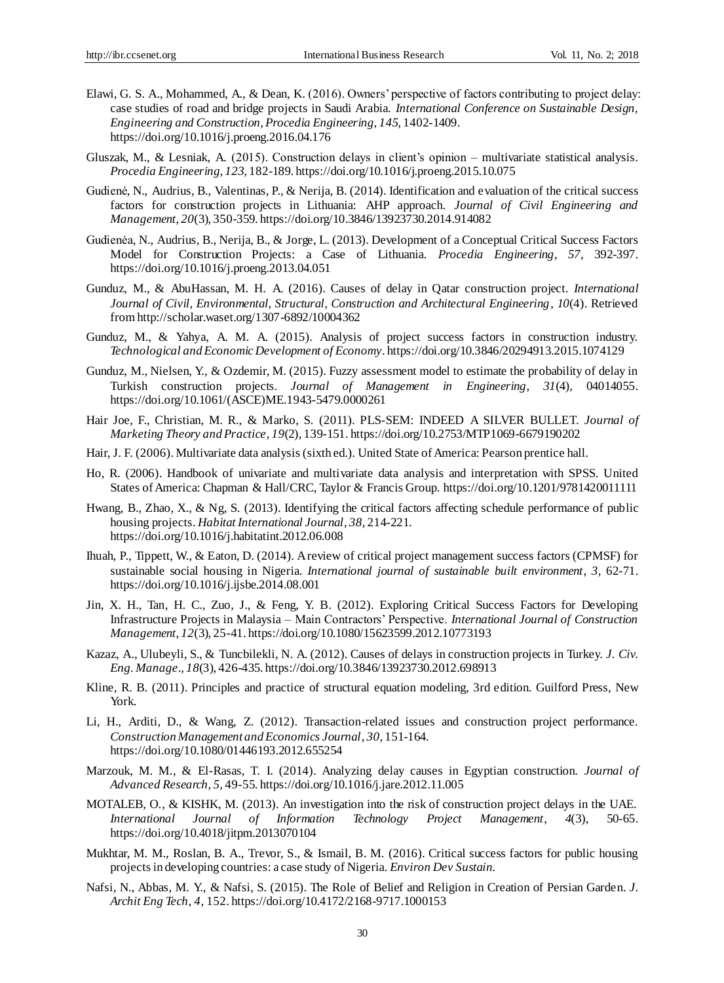- Elawi, G. S. A., Mohammed, A., & Dean, K. (2016). Owners' perspective of factors contributing to project delay: case studies of road and bridge projects in Saudi Arabia. *International Conference on Sustainable Design, Engineering and Construction, Procedia Engineering, 145,* 1402-1409. https://doi.org/10.1016/j.proeng.2016.04.176
- Gluszak, M., & Lesniak, A. (2015). Construction delays in client's opinion multivariate statistical analysis. *Procedia Engineering*, *123,* 182-189. https://doi.org/10.1016/j.proeng.2015.10.075
- Gudienė, N., Audrius, B., Valentinas, P., & Nerija, B. (2014). Identification and evaluation of the critical success factors for construction projects in Lithuania: AHP approach. *Journal of Civil Engineering and Management*, *20*(3), 350-359. https://doi.org/10.3846/13923730.2014.914082
- Gudienėa, N., Audrius, B., Nerija, B., & Jorge, L. (2013). Development of a Conceptual Critical Success Factors Model for Construction Projects: a Case of Lithuania. *Procedia Engineering*, *57,* 392-397. https://doi.org/10.1016/j.proeng.2013.04.051
- Gunduz, M., & AbuHassan, M. H. A. (2016). Causes of delay in Qatar construction project. *International Journal of Civil, Environmental, Structural, Construction and Architectural Engineering*, *10*(4). Retrieved from http://scholar.waset.org/1307-6892/10004362
- Gunduz, M., & Yahya, A. M. A. (2015). Analysis of project success factors in construction industry. *Technological and Economic Development of Economy*. https://doi.org/10.3846/20294913.2015.1074129
- Gunduz, M., Nielsen, Y., & Ozdemir, M. (2015). Fuzzy assessment model to estimate the probability of delay in Turkish construction projects. *Journal of Management in Engineering*, *31*(4), 04014055. https://doi.org/10.1061/(ASCE)ME.1943-5479.0000261
- Hair Joe, F., Christian, M. R., & Marko, S. (2011). PLS-SEM: INDEED A SILVER BULLET. *Journal of Marketing Theory and Practice*, *19*(2), 139-151. https://doi.org/10.2753/MTP1069-6679190202
- Hair, J. F. (2006). Multivariate data analysis (sixth ed.). United State of America: Pearson prentice hall.
- Ho, R. (2006). Handbook of univariate and multivariate data analysis and interpretation with SPSS. United States of America: Chapman & Hall/CRC, Taylor & Francis Group. https://doi.org/10.1201/9781420011111
- Hwang, B., Zhao, X., & Ng, S. (2013). Identifying the critical factors affecting schedule performance of public housing projects. *Habitat International Journal*, *38,* 214-221. https://doi.org/10.1016/j.habitatint.2012.06.008
- Ihuah, P., Tippett, W., & Eaton, D. (2014). A review of critical project management success factors (CPMSF) for sustainable social housing in Nigeria. *International journal of sustainable built environment*, *3,* 62-71. https://doi.org/10.1016/j.ijsbe.2014.08.001
- Jin, X. H., Tan, H. C., Zuo, J., & Feng, Y. B. (2012). Exploring Critical Success Factors for Developing Infrastructure Projects in Malaysia – Main Contractors' Perspective. *International Journal of Construction Management*, *12*(3), 25-41. https://doi.org/10.1080/15623599.2012.10773193
- Kazaz, A., Ulubeyli, S., & Tuncbilekli, N. A. (2012). Causes of delays in construction projects in Turkey. *J. Civ. Eng. Manage*., *18*(3), 426-435. https://doi.org/10.3846/13923730.2012.698913
- Kline, R. B. (2011). Principles and practice of structural equation modeling, 3rd edition. Guilford Press, New York.
- Li, H., Arditi, D., & Wang, Z. (2012). Transaction-related issues and construction project performance. *Construction Management and Economics Journal*, *30,* 151-164. https://doi.org/10.1080/01446193.2012.655254
- Marzouk, M. M., & El-Rasas, T. I. (2014). Analyzing delay causes in Egyptian construction. *Journal of Advanced Research*, *5,* 49-55. https://doi.org/10.1016/j.jare.2012.11.005
- MOTALEB, O., & KISHK, M. (2013). An investigation into the risk of construction project delays in the UAE. *International Journal of Information Technology Project Management*, *4*(3), 50-65. https://doi.org/10.4018/jitpm.2013070104
- Mukhtar, M. M., Roslan, B. A., Trevor, S., & Ismail, B. M. (2016). Critical success factors for public housing projects in developing countries: a case study of Nigeria. *Environ Dev Sustain*.
- Nafsi, N., Abbas, M. Y., & Nafsi, S. (2015). The Role of Belief and Religion in Creation of Persian Garden. *J. Archit Eng Tech, 4,* 152. https://doi.org/10.4172/2168-9717.1000153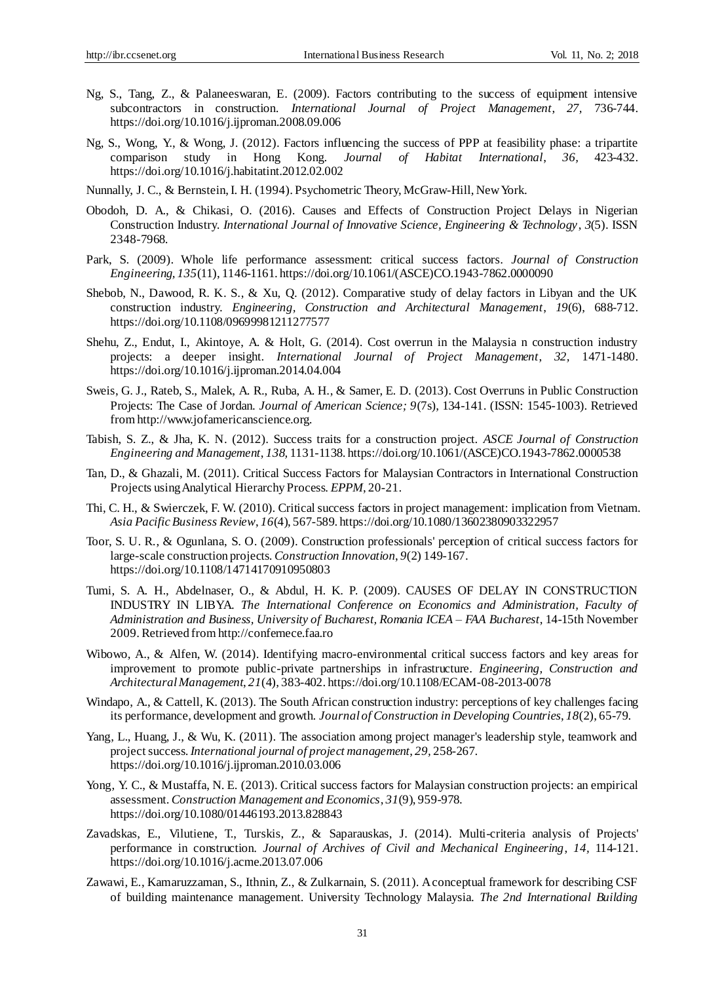- Ng, S., Tang, Z., & Palaneeswaran, E. (2009). Factors contributing to the success of equipment intensive subcontractors in construction. *International Journal of Project Management*, *27,* 736-744. https://doi.org/10.1016/j.ijproman.2008.09.006
- Ng, S., Wong, Y., & Wong, J. (2012). Factors influencing the success of PPP at feasibility phase: a tripartite comparison study in Hong Kong. *Journal of Habitat International*, *36,* 423-432. https://doi.org/10.1016/j.habitatint.2012.02.002
- Nunnally, J. C., & Bernstein, I. H. (1994). Psychometric Theory, McGraw-Hill, New York.
- Obodoh, D. A., & Chikasi, O. (2016). Causes and Effects of Construction Project Delays in Nigerian Construction Industry. *International Journal of Innovative Science, Engineering & Technology*, *3*(5). ISSN 2348-7968.
- Park, S. (2009). Whole life performance assessment: critical success factors. *Journal of Construction Engineering, 135*(11), 1146-1161. https://doi.org/10.1061/(ASCE)CO.1943-7862.0000090
- Shebob, N., Dawood, R. K. S., & Xu, Q. (2012). Comparative study of delay factors in Libyan and the UK construction industry. *Engineering, Construction and Architectural Management*, *19*(6), 688-712. https://doi.org/10.1108/09699981211277577
- Shehu, Z., Endut, I., Akintoye, A. & Holt, G. (2014). Cost overrun in the Malaysia n construction industry projects: a deeper insight. *International Journal of Project Management*, *32,* 1471-1480. https://doi.org/10.1016/j.ijproman.2014.04.004
- Sweis, G. J., Rateb, S., Malek, A. R., Ruba, A. H., & Samer, E. D. (2013). Cost Overruns in Public Construction Projects: The Case of Jordan. *Journal of American Science; 9*(7s), 134-141. (ISSN: 1545-1003). Retrieved from http://www.jofamericanscience.org.
- Tabish, S. Z., & Jha, K. N. (2012). Success traits for a construction project. *ASCE Journal of Construction Engineering and Management*, *138,* 1131-1138. https://doi.org/10.1061/(ASCE)CO.1943-7862.0000538
- Tan, D., & Ghazali, M. (2011). Critical Success Factors for Malaysian Contractors in International Construction Projects using Analytical Hierarchy Process. *EPPM*, 20-21.
- Thi, C. H., & Swierczek, F. W. (2010). Critical success factors in project management: implication from Vietnam. *Asia Pacific Business Review*, *16*(4), 567-589. https://doi.org/10.1080/13602380903322957
- Toor, S. U. R., & Ogunlana, S. O. (2009). Construction professionals' perception of critical success factors for large-scale construction projects. *Construction Innovation*, *9*(2) 149-167. https://doi.org/10.1108/14714170910950803
- Tumi, S. A. H., Abdelnaser, O., & Abdul, H. K. P. (2009). CAUSES OF DELAY IN CONSTRUCTION INDUSTRY IN LIBYA. *The International Conference on Economics and Administration, Faculty of Administration and Business, University of Bucharest, Romania ICEA – FAA Bucharest*, 14-15th November 2009. Retrieved from http://confernece.faa.ro
- Wibowo, A., & Alfen, W. (2014). Identifying macro-environmental critical success factors and key areas for improvement to promote public-private partnerships in infrastructure. *Engineering, Construction and Architectural Management*, *21*(4), 383-402. https://doi.org/10.1108/ECAM-08-2013-0078
- Windapo, A., & Cattell, K. (2013). The South African construction industry: perceptions of key challenges facing its performance, development and growth. *Journal of Construction in Developing Countries*, *18*(2), 65-79.
- Yang, L., Huang, J., & Wu, K. (2011). The association among project manager's leadership style, teamwork and project success. *International journal of project management*, *29,* 258-267. https://doi.org/10.1016/j.ijproman.2010.03.006
- Yong, Y. C., & Mustaffa, N. E. (2013). Critical success factors for Malaysian construction projects: an empirical assessment. *Construction Management and Economics*, *31*(9), 959-978. https://doi.org/10.1080/01446193.2013.828843
- Zavadskas, E., Vilutiene, T., Turskis, Z., & Saparauskas, J. (2014). Multi-criteria analysis of Projects' performance in construction. *Journal of Archives of Civil and Mechanical Engineering*, *14,* 114-121. https://doi.org/10.1016/j.acme.2013.07.006
- Zawawi, E., Kamaruzzaman, S., Ithnin, Z., & Zulkarnain, S. (2011). A conceptual framework for describing CSF of building maintenance management. University Technology Malaysia. *The 2nd International Building*